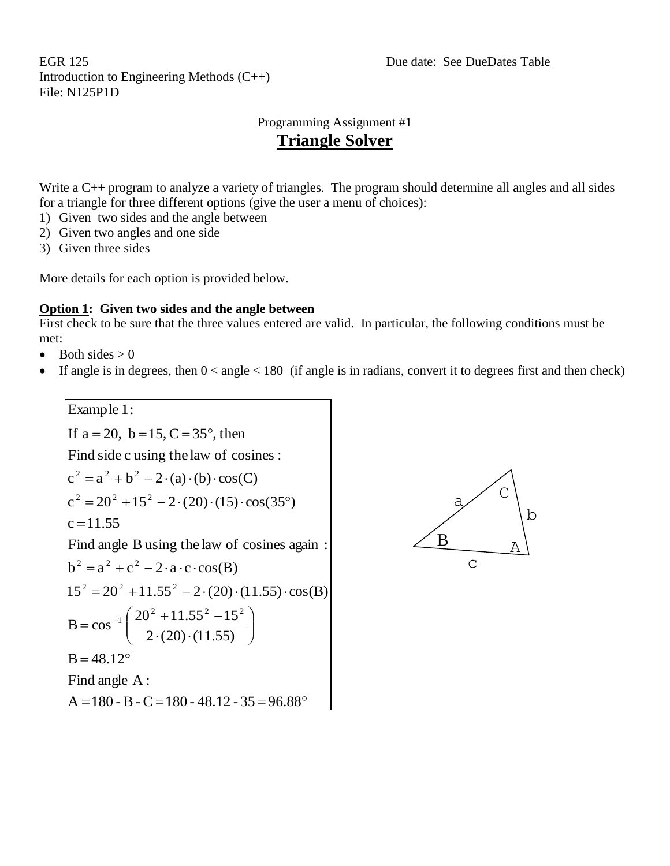EGR 125 Due date: See DueDates Table Introduction to Engineering Methods (C++) File: N125P1D

### Programming Assignment #1 **Triangle Solver**

Write a C++ program to analyze a variety of triangles. The program should determine all angles and all sides for a triangle for three different options (give the user a menu of choices):

- 1) Given two sides and the angle between
- 2) Given two angles and one side
- 3) Given three sides

More details for each option is provided below.

### **Option 1: Given two sides and the angle between**

First check to be sure that the three values entered are valid. In particular, the following conditions must be met:

- $\bullet$  Both sides  $> 0$
- If angle is in degrees, then  $0 <$  angle  $< 180$  (if angle is in radians, convert it to degrees first and then check)



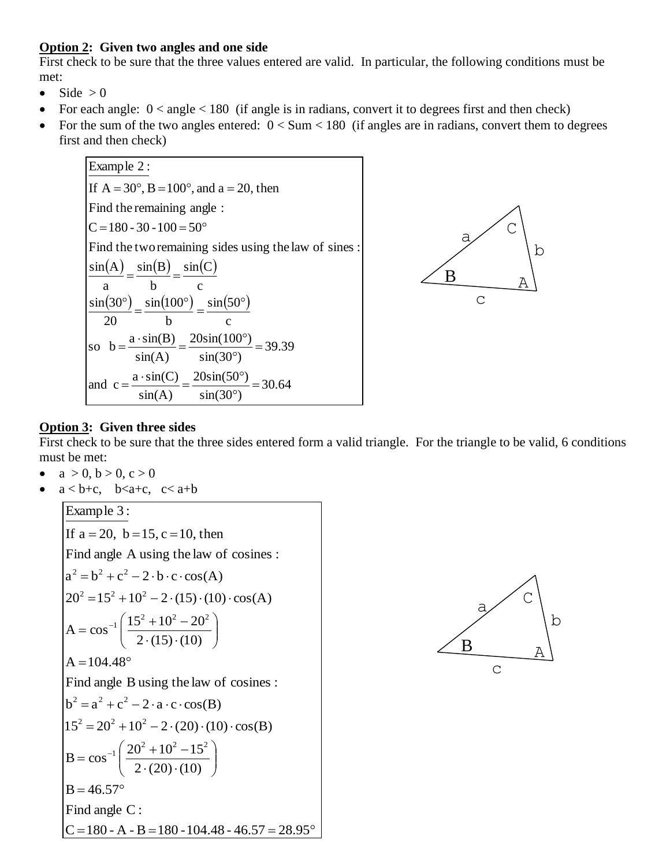#### **Option 2: Given two angles and one side**

First check to be sure that the three values entered are valid. In particular, the following conditions must be met:

- $\bullet$  Side > 0
- For each angle:  $0 < \text{angle} < 180$  (if angle is in radians, convert it to degrees first and then check)
- For the sum of the two angles entered:  $0 <$  Sum  $<$  180 (if angles are in radians, convert them to degrees first and then check)





#### **Option 3: Given three sides**

First check to be sure that the three sides entered form a valid triangle. For the triangle to be valid, 6 conditions must be met:

- $a > 0, b > 0, c > 0$
- $a < b+c$ ,  $b < a+c$ ,  $c < a+b$

Example 3:  
\nIf a = 20, b = 15, c = 10, then  
\nFind angle A using the law of cosines :  
\n
$$
a^2 = b^2 + c^2 - 2 \cdot b \cdot c \cdot cos(A)
$$
\n
$$
20^2 = 15^2 + 10^2 - 2 \cdot (15) \cdot (10) \cdot cos(A)
$$
\n
$$
A = cos^{-1} \left( \frac{15^2 + 10^2 - 20^2}{2 \cdot (15) \cdot (10)} \right)
$$
\n
$$
A = 104.48^\circ
$$
\nFind angle B using the law of cosines :  
\n
$$
b^2 = a^2 + c^2 - 2 \cdot a \cdot c \cdot cos(B)
$$
\n
$$
15^2 = 20^2 + 10^2 - 2 \cdot (20) \cdot (10) \cdot cos(B)
$$
\n
$$
B = cos^{-1} \left( \frac{20^2 + 10^2 - 15^2}{2 \cdot (20) \cdot (10)} \right)
$$
\n
$$
B = 46.57^\circ
$$
\nFind angle C :  
\nC = 180 - A - B = 180 - 104.48 - 46.57 = 28.95^\circ